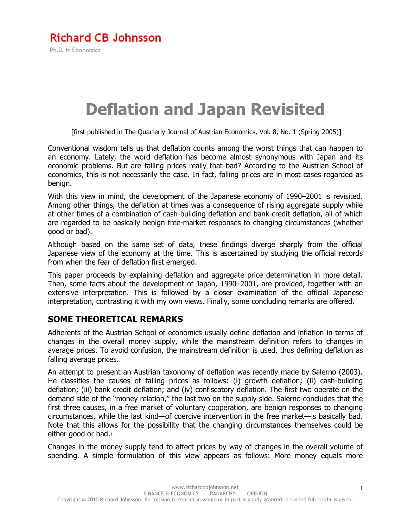# **Deflation and Japan Revisited**

[first published in The Quarterly Journal of Austrian Economics, Vol. 8, No. 1 (Spring 2005)]

Conventional wisdom tells us that deflation counts among the worst things that can happen to an economy. Lately, the word deflation has become almost synonymous with Japan and its economic problems. But are falling prices really that bad? According to the Austrian School of economics, this is not necessarily the case. In fact, falling prices are in most cases regarded as benign.

With this view in mind, the development of the Japanese economy of 1990–2001 is revisited. Among other things, the deflation at times was a consequence of rising aggregate supply while at other times of a combination of cash-building deflation and bank-credit deflation, all of which are regarded to be basically benign free-market responses to changing circumstances (whether good or bad).

Although based on the same set of data, these findings diverge sharply from the official Japanese view of the economy at the time. This is ascertained by studying the official records from when the fear of deflation first emerged.

This paper proceeds by explaining deflation and aggregate price determination in more detail. Then, some facts about the development of Japan, 1990–2001, are provided, together with an extensive interpretation. This is followed by a closer examination of the official Japanese interpretation, contrasting it with my own views. Finally, some concluding remarks are offered.

#### **SOME THEORETICAL REMARKS**

Adherents of the Austrian School of economics usually define deflation and inflation in terms of changes in the overall money supply, while the mainstream definition refers to changes in average prices. To avoid confusion, the mainstream definition is used, thus defining deflation as falling average prices.

An attempt to present an Austrian taxonomy of deflation was recently made by Salerno (2003). He classifies the causes of falling prices as follows: (i) growth deflation; (ii) cash-building deflation; (iii) bank credit deflation; and (iv) confiscatory deflation. The first two operate on the demand side of the "money relation," the last two on the supply side. Salerno concludes that the first three causes, in a free market of voluntary cooperation, are benign responses to changing circumstances, while the last kind—of coercive intervention in the free market—is basically bad. Note that this allows for the possibility that the changing circumstances themselves could be either good or bad.1

Changes in the money supply tend to affect prices by way of changes in the overall volume of spending. A simple formulation of this view appears as follows: More money equals more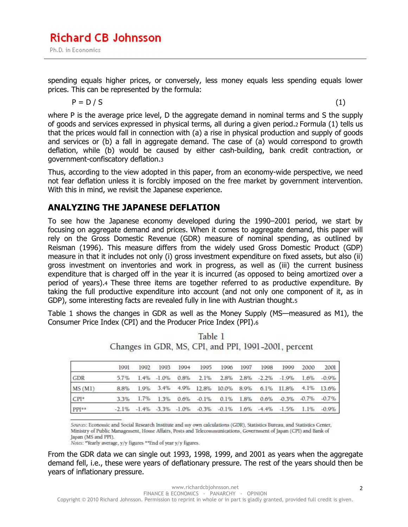spending equals higher prices, or conversely, less money equals less spending equals lower prices. This can be represented by the formula:

$$
P = D / S \tag{1}
$$

where P is the average price level, D the aggregate demand in nominal terms and S the supply of goods and services expressed in physical terms, all during a given period.2 Formula (1) tells us that the prices would fall in connection with (a) a rise in physical production and supply of goods and services or (b) a fall in aggregate demand. The case of (a) would correspond to growth deflation, while (b) would be caused by either cash-building, bank credit contraction, or government-confiscatory deflation.3

Thus, according to the view adopted in this paper, from an economy-wide perspective, we need not fear deflation unless it is forcibly imposed on the free market by government intervention. With this in mind, we revisit the Japanese experience.

#### **ANALYZING THE JAPANESE DEFLATION**

To see how the Japanese economy developed during the 1990–2001 period, we start by focusing on aggregate demand and prices. When it comes to aggregate demand, this paper will rely on the Gross Domestic Revenue (GDR) measure of nominal spending, as outlined by Reisman (1996). This measure differs from the widely used Gross Domestic Product (GDP) measure in that it includes not only (i) gross investment expenditure on fixed assets, but also (ii) gross investment on inventories and work in progress, as well as (iii) the current business expenditure that is charged off in the year it is incurred (as opposed to being amortized over a period of years).4 These three items are together referred to as productive expenditure. By taking the full productive expenditure into account (and not only one component of it, as in GDP), some interesting facts are revealed fully in line with Austrian thought.5

Table 1 shows the changes in GDR as well as the Money Supply (MS—measured as M1), the Consumer Price Index (CPI) and the Producer Price Index (PPI).6

|        |  |  | 1991 1992 1993 1994 1995 1996 1997 1998 1999 2000                                                |  |  | 2001 |
|--------|--|--|--------------------------------------------------------------------------------------------------|--|--|------|
| GDR    |  |  | 5.7% 1.4% -1.0% 0.8% 2.1% 2.8% 2.8% -2.2% -1.9% 1.6% -0.9%                                       |  |  |      |
| MS(M1) |  |  | 8.8% 1.9% 3.4% 4.9% 12.8% 10.0% 8.9% 6.1% 11.8% 4.1% 13.6%                                       |  |  |      |
| $CP1*$ |  |  | $3.3\%$ $1.7\%$ $1.3\%$ $0.6\%$ $-0.1\%$ $0.1\%$ $1.8\%$ $0.6\%$ $-0.3\%$ $-0.7\%$ $-0.7\%$      |  |  |      |
| PPI**  |  |  | $-2.1\%$ $-1.4\%$ $-3.3\%$ $-1.0\%$ $-0.3\%$ $-0.1\%$ $1.6\%$ $-4.4\%$ $-1.5\%$ $1.1\%$ $-0.9\%$ |  |  |      |

|  |  | Table 1 |                                                      |  |
|--|--|---------|------------------------------------------------------|--|
|  |  |         | Changes in GDR, MS, CPI, and PPI, 1991-2001, percent |  |

Sources: Economic and Social Research Institute and my own calculations (GDR), Statistics Bureau, and Statistics Center, Ministry of Public Management, Home Affairs, Posts and Telecommunications, Government of Japan (CPI) and Bank of Japan (MS and PPI).

Notes: "Yearly average, y/y figures "\*End of year y/y figures.

From the GDR data we can single out 1993, 1998, 1999, and 2001 as years when the aggregate demand fell, i.e., these were years of deflationary pressure. The rest of the years should then be years of inflationary pressure.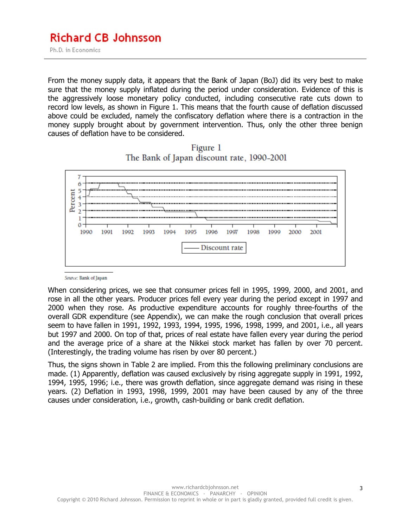From the money supply data, it appears that the Bank of Japan (BoJ) did its very best to make sure that the money supply inflated during the period under consideration. Evidence of this is the aggressively loose monetary policy conducted, including consecutive rate cuts down to record low levels, as shown in Figure 1. This means that the fourth cause of deflation discussed above could be excluded, namely the confiscatory deflation where there is a contraction in the money supply brought about by government intervention. Thus, only the other three benign causes of deflation have to be considered.





Source: Bank of Japan

When considering prices, we see that consumer prices fell in 1995, 1999, 2000, and 2001, and rose in all the other years. Producer prices fell every year during the period except in 1997 and 2000 when they rose. As productive expenditure accounts for roughly three-fourths of the overall GDR expenditure (see Appendix), we can make the rough conclusion that overall prices seem to have fallen in 1991, 1992, 1993, 1994, 1995, 1996, 1998, 1999, and 2001, i.e., all years but 1997 and 2000. On top of that, prices of real estate have fallen every year during the period and the average price of a share at the Nikkei stock market has fallen by over 70 percent. (Interestingly, the trading volume has risen by over 80 percent.)

Thus, the signs shown in Table 2 are implied. From this the following preliminary conclusions are made. (1) Apparently, deflation was caused exclusively by rising aggregate supply in 1991, 1992, 1994, 1995, 1996; i.e., there was growth deflation, since aggregate demand was rising in these years. (2) Deflation in 1993, 1998, 1999, 2001 may have been caused by any of the three causes under consideration, i.e., growth, cash-building or bank credit deflation.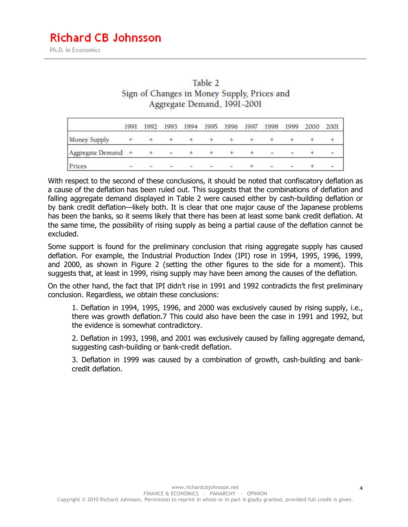| Table 2                                     |
|---------------------------------------------|
| Sign of Changes in Money Supply, Prices and |
| Aggregate Demand, 1991-2001                 |

|                  | 1991 | 1992 | 1993                     | 1994 | 1995 1996 | 1997 | 1998 | 1999                     | 2000 | 2001 |
|------------------|------|------|--------------------------|------|-----------|------|------|--------------------------|------|------|
| Money Supply     |      |      |                          |      |           |      |      |                          |      |      |
| Aggregate Demand |      |      | $\overline{\phantom{a}}$ |      |           |      |      | -                        |      |      |
| Prices           |      | -    |                          |      |           |      |      | $\overline{\phantom{a}}$ |      | a.   |

With respect to the second of these conclusions, it should be noted that confiscatory deflation as a cause of the deflation has been ruled out. This suggests that the combinations of deflation and falling aggregate demand displayed in Table 2 were caused either by cash-building deflation or by bank credit deflation—likely both. It is clear that one major cause of the Japanese problems has been the banks, so it seems likely that there has been at least some bank credit deflation. At the same time, the possibility of rising supply as being a partial cause of the deflation cannot be excluded.

Some support is found for the preliminary conclusion that rising aggregate supply has caused deflation. For example, the Industrial Production Index (IPI) rose in 1994, 1995, 1996, 1999, and 2000, as shown in Figure 2 (setting the other figures to the side for a moment). This suggests that, at least in 1999, rising supply may have been among the causes of the deflation.

On the other hand, the fact that IPI didn't rise in 1991 and 1992 contradicts the first preliminary conclusion. Regardless, we obtain these conclusions:

1. Deflation in 1994, 1995, 1996, and 2000 was exclusively caused by rising supply, i.e., there was growth deflation.7 This could also have been the case in 1991 and 1992, but the evidence is somewhat contradictory.

2. Deflation in 1993, 1998, and 2001 was exclusively caused by falling aggregate demand, suggesting cash-building or bank-credit deflation.

3. Deflation in 1999 was caused by a combination of growth, cash-building and bankcredit deflation.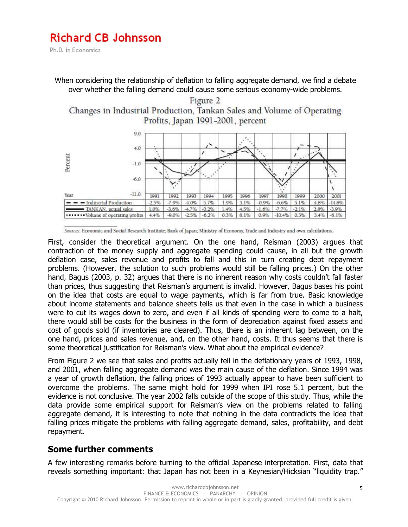Ph.D. in Economics

When considering the relationship of deflation to falling aggregate demand, we find a debate over whether the falling demand could cause some serious economy-wide problems.

Figure 2 Changes in Industrial Production, Tankan Sales and Volume of Operating Profits, Japan 1991-2001, percent



Sources: Economic and Social Research Institute; Bank of Japan; Ministry of Economy, Trade and Industry and own calculations.

First, consider the theoretical argument. On the one hand, Reisman (2003) argues that contraction of the money supply and aggregate spending could cause, in all but the growth deflation case, sales revenue and profits to fall and this in turn creating debt repayment problems. (However, the solution to such problems would still be falling prices.) On the other hand, Bagus (2003, p. 32) argues that there is no inherent reason why costs couldn't fall faster than prices, thus suggesting that Reisman's argument is invalid. However, Bagus bases his point on the idea that costs are equal to wage payments, which is far from true. Basic knowledge about income statements and balance sheets tells us that even in the case in which a business were to cut its wages down to zero, and even if all kinds of spending were to come to a halt, there would still be costs for the business in the form of depreciation against fixed assets and cost of goods sold (if inventories are cleared). Thus, there is an inherent lag between, on the one hand, prices and sales revenue, and, on the other hand, costs. It thus seems that there is some theoretical justification for Reisman's view. What about the empirical evidence?

From Figure 2 we see that sales and profits actually fell in the deflationary years of 1993, 1998, and 2001, when falling aggregate demand was the main cause of the deflation. Since 1994 was a year of growth deflation, the falling prices of 1993 actually appear to have been sufficient to overcome the problems. The same might hold for 1999 when IPI rose 5.1 percent, but the evidence is not conclusive. The year 2002 falls outside of the scope of this study. Thus, while the data provide some empirical support for Reisman's view on the problems related to falling aggregate demand, it is interesting to note that nothing in the data contradicts the idea that falling prices mitigate the problems with falling aggregate demand, sales, profitability, and debt repayment.

#### **Some further comments**

A few interesting remarks before turning to the official Japanese interpretation. First, data that reveals something important: that Japan has not been in a Keynesian/Hicksian "liquidity trap."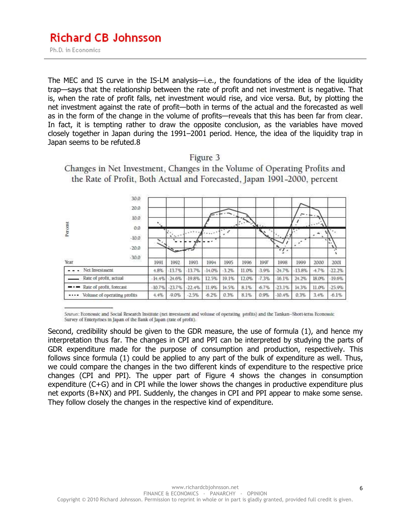Ph.D. in Economics

The MEC and IS curve in the IS-LM analysis—i.e., the foundations of the idea of the liquidity trap—says that the relationship between the rate of profit and net investment is negative. That is, when the rate of profit falls, net investment would rise, and vice versa. But, by plotting the net investment against the rate of profit—both in terms of the actual and the forecasted as well as in the form of the change in the volume of profits—reveals that this has been far from clear. In fact, it is tempting rather to draw the opposite conclusion, as the variables have moved closely together in Japan during the 1991–2001 period. Hence, the idea of the liquidity trap in Japan seems to be refuted.8

| 30.0<br>20.0<br>10.0<br>Percent<br>0.0 |          |                                                                  |                   |          |         |       |         |                | -        | $\overline{\phantom{a}}$<br>$\mathbf{r}$ |                                        |
|----------------------------------------|----------|------------------------------------------------------------------|-------------------|----------|---------|-------|---------|----------------|----------|------------------------------------------|----------------------------------------|
| $-10.0$<br>$-20.0$                     |          | $\mathcal{L}^{\mathcal{A}}$ , $\mathcal{L}^{\mathcal{A}}$<br>معد | $\cdots$<br>$\mu$ | ٠        | £       |       |         | $\cdot$ .<br>۰ | ٠<br>٠   | ۰                                        | u.<br>$\mathcal{L}_{\mathcal{F}}$<br>۰ |
| $-30.0$<br>PERMIT<br>Year              | 1991     | 1992                                                             | 1993              | 1994     | 1995    | 1996  | 1997    | 1998           | 1999     | 2000                                     | 2001                                   |
| Net Investment                         | 4.8%     | $-13.7%$                                                         | $-13.7%$          | $-14.0%$ | $-3.2%$ | 11.0% | $-3.9%$ | $-24.7%$       | $-13.8%$ | $-4.7%$                                  | $-22.2%$                               |
| Rate of profit, actual                 | $-14.4%$ | $-24.6%$                                                         | $-19.8%$          | 12.5%    | 19.1%   | 12.0% | $-7.3%$ | $-16.1%$       | 24.2%    | 18.0%                                    | $-19.6%$                               |
| Rate of profit, forecast<br>---        | $-10.7%$ | $-23.7%$                                                         | $-22.4%$          | 11.9%    | 14.5%   | 8.1%  | $-6.7%$ | $-23.1%$       | 14.3%    | 11.0%                                    | $-25.9%$                               |
| Volume of operating profits<br>        | 4.4%     | $-9.0%$                                                          | $-2.5%$           | $-6.2%$  | 0.3%    | 8.1%  | 0.9%    | $-10.4%$       | 0.3%     | 3.4%                                     | $-6.1%$                                |

Changes in Net Investment, Changes in the Volume of Operating Profits and the Rate of Profit, Both Actual and Forecasted, Japan 1991-2000, percent

Figure 3

Sources: Economic and Social Research Institute (net investment and volume of operating profits) and the Tankan-Short-term Economic Survey of Enterprises in Japan of the Bank of Japan (rate of profit).

Second, credibility should be given to the GDR measure, the use of formula (1), and hence my interpretation thus far. The changes in CPI and PPI can be interpreted by studying the parts of GDR expenditure made for the purpose of consumption and production, respectively. This follows since formula (1) could be applied to any part of the bulk of expenditure as well. Thus, we could compare the changes in the two different kinds of expenditure to the respective price changes (CPI and PPI). The upper part of Figure 4 shows the changes in consumption expenditure (C+G) and in CPI while the lower shows the changes in productive expenditure plus net exports (B+NX) and PPI. Suddenly, the changes in CPI and PPI appear to make some sense. They follow closely the changes in the respective kind of expenditure.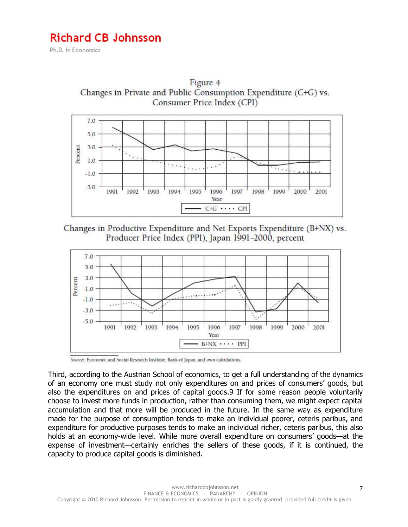





Sources: Economic and Social Research Institute, Bank of Japan, and own calculations.

Third, according to the Austrian School of economics, to get a full understanding of the dynamics of an economy one must study not only expenditures on and prices of consumers' goods, but also the expenditures on and prices of capital goods.9 If for some reason people voluntarily choose to invest more funds in production, rather than consuming them, we might expect capital accumulation and that more will be produced in the future. In the same way as expenditure made for the purpose of consumption tends to make an individual poorer, ceteris paribus, and expenditure for productive purposes tends to make an individual richer, ceteris paribus, this also holds at an economy-wide level. While more overall expenditure on consumers' goods—at the expense of investment—certainly enriches the sellers of these goods, if it is continued, the capacity to produce capital goods is diminished.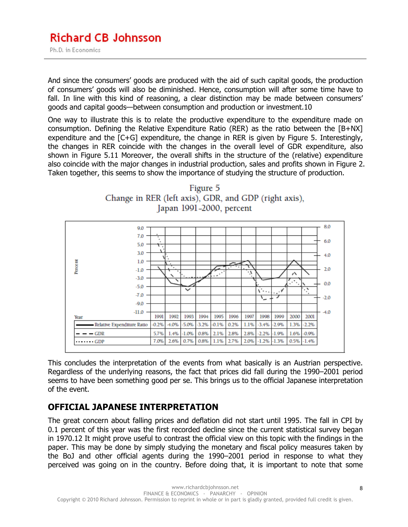#### **Richard CB Johnsson** Ph.D. in Economics

And since the consumers' goods are produced with the aid of such capital goods, the production of consumers' goods will also be diminished. Hence, consumption will after some time have to fall. In line with this kind of reasoning, a clear distinction may be made between consumers' goods and capital goods—between consumption and production or investment.10

One way to illustrate this is to relate the productive expenditure to the expenditure made on consumption. Defining the Relative Expenditure Ratio (RER) as the ratio between the [B+NX] expenditure and the [C+G] expenditure, the change in RER is given by Figure 5. Interestingly, the changes in RER coincide with the changes in the overall level of GDR expenditure, also shown in Figure 5.11 Moreover, the overall shifts in the structure of the (relative) expenditure also coincide with the major changes in industrial production, sales and profits shown in Figure 2. Taken together, this seems to show the importance of studying the structure of production.





This concludes the interpretation of the events from what basically is an Austrian perspective. Regardless of the underlying reasons, the fact that prices did fall during the 1990–2001 period seems to have been something good per se. This brings us to the official Japanese interpretation of the event.

#### **OFFICIAL JAPANESE INTERPRETATION**

The great concern about falling prices and deflation did not start until 1995. The fall in CPI by 0.1 percent of this year was the first recorded decline since the current statistical survey began in 1970.12 It might prove useful to contrast the official view on this topic with the findings in the paper. This may be done by simply studying the monetary and fiscal policy measures taken by the BoJ and other official agents during the 1990–2001 period in response to what they perceived was going on in the country. Before doing that, it is important to note that some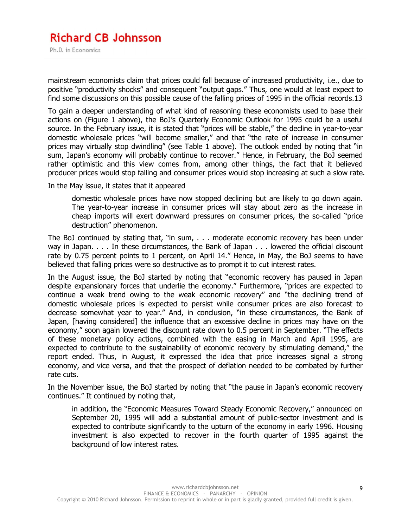mainstream economists claim that prices could fall because of increased productivity, i.e., due to positive "productivity shocks" and consequent "output gaps." Thus, one would at least expect to find some discussions on this possible cause of the falling prices of 1995 in the official records.13

To gain a deeper understanding of what kind of reasoning these economists used to base their actions on (Figure 1 above), the BoJ's Quarterly Economic Outlook for 1995 could be a useful source. In the February issue, it is stated that "prices will be stable," the decline in year-to-year domestic wholesale prices "will become smaller," and that "the rate of increase in consumer prices may virtually stop dwindling" (see Table 1 above). The outlook ended by noting that "in sum, Japan's economy will probably continue to recover." Hence, in February, the BoJ seemed rather optimistic and this view comes from, among other things, the fact that it believed producer prices would stop falling and consumer prices would stop increasing at such a slow rate.

In the May issue, it states that it appeared

domestic wholesale prices have now stopped declining but are likely to go down again. The year-to-year increase in consumer prices will stay about zero as the increase in cheap imports will exert downward pressures on consumer prices, the so-called "price destruction" phenomenon.

The BoJ continued by stating that, "in sum, . . . moderate economic recovery has been under way in Japan. . . . In these circumstances, the Bank of Japan . . . lowered the official discount rate by 0.75 percent points to 1 percent, on April 14." Hence, in May, the BoJ seems to have believed that falling prices were so destructive as to prompt it to cut interest rates.

In the August issue, the BoJ started by noting that "economic recovery has paused in Japan despite expansionary forces that underlie the economy." Furthermore, "prices are expected to continue a weak trend owing to the weak economic recovery" and "the declining trend of domestic wholesale prices is expected to persist while consumer prices are also forecast to decrease somewhat year to year." And, in conclusion, "in these circumstances, the Bank of Japan, [having considered] the influence that an excessive decline in prices may have on the economy," soon again lowered the discount rate down to 0.5 percent in September. "The effects of these monetary policy actions, combined with the easing in March and April 1995, are expected to contribute to the sustainability of economic recovery by stimulating demand," the report ended. Thus, in August, it expressed the idea that price increases signal a strong economy, and vice versa, and that the prospect of deflation needed to be combated by further rate cuts.

In the November issue, the BoJ started by noting that "the pause in Japan's economic recovery continues." It continued by noting that,

in addition, the "Economic Measures Toward Steady Economic Recovery," announced on September 20, 1995 will add a substantial amount of public-sector investment and is expected to contribute significantly to the upturn of the economy in early 1996. Housing investment is also expected to recover in the fourth quarter of 1995 against the background of low interest rates.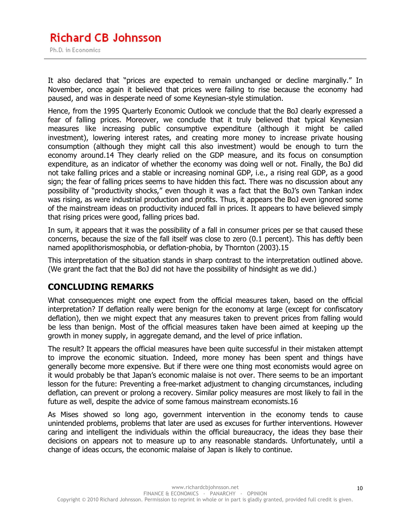#### **Richard CB Johnsson** Ph.D. in Economics

It also declared that "prices are expected to remain unchanged or decline marginally." In November, once again it believed that prices were failing to rise because the economy had paused, and was in desperate need of some Keynesian-style stimulation.

Hence, from the 1995 Quarterly Economic Outlook we conclude that the BoJ clearly expressed a fear of falling prices. Moreover, we conclude that it truly believed that typical Keynesian measures like increasing public consumptive expenditure (although it might be called investment), lowering interest rates, and creating more money to increase private housing consumption (although they might call this also investment) would be enough to turn the economy around.14 They clearly relied on the GDP measure, and its focus on consumption expenditure, as an indicator of whether the economy was doing well or not. Finally, the BoJ did not take falling prices and a stable or increasing nominal GDP, i.e., a rising real GDP, as a good sign; the fear of falling prices seems to have hidden this fact. There was no discussion about any possibility of "productivity shocks," even though it was a fact that the BoJ's own Tankan index was rising, as were industrial production and profits. Thus, it appears the BoJ even ignored some of the mainstream ideas on productivity induced fall in prices. It appears to have believed simply that rising prices were good, falling prices bad.

In sum, it appears that it was the possibility of a fall in consumer prices per se that caused these concerns, because the size of the fall itself was close to zero (0.1 percent). This has deftly been named apoplithorismosphobia, or deflation-phobia, by Thornton (2003).15

This interpretation of the situation stands in sharp contrast to the interpretation outlined above. (We grant the fact that the BoJ did not have the possibility of hindsight as we did.)

#### **CONCLUDING REMARKS**

What consequences might one expect from the official measures taken, based on the official interpretation? If deflation really were benign for the economy at large (except for confiscatory deflation), then we might expect that any measures taken to prevent prices from falling would be less than benign. Most of the official measures taken have been aimed at keeping up the growth in money supply, in aggregate demand, and the level of price inflation.

The result? It appears the official measures have been quite successful in their mistaken attempt to improve the economic situation. Indeed, more money has been spent and things have generally become more expensive. But if there were one thing most economists would agree on it would probably be that Japan's economic malaise is not over. There seems to be an important lesson for the future: Preventing a free-market adjustment to changing circumstances, including deflation, can prevent or prolong a recovery. Similar policy measures are most likely to fail in the future as well, despite the advice of some famous mainstream economists.16

As Mises showed so long ago, government intervention in the economy tends to cause unintended problems, problems that later are used as excuses for further interventions. However caring and intelligent the individuals within the official bureaucracy, the ideas they base their decisions on appears not to measure up to any reasonable standards. Unfortunately, until a change of ideas occurs, the economic malaise of Japan is likely to continue.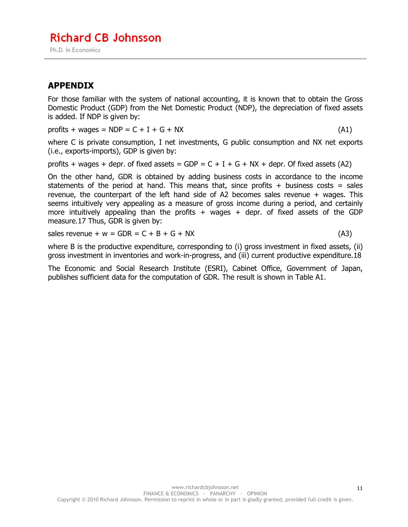#### **APPENDIX**

For those familiar with the system of national accounting, it is known that to obtain the Gross Domestic Product (GDP) from the Net Domestic Product (NDP), the depreciation of fixed assets is added. If NDP is given by:

profits + wages =  $NDP = C + I + G + Nx$  (A1)

where C is private consumption, I net investments, G public consumption and NX net exports (i.e., exports-imports), GDP is given by:

profits + wages + depr. of fixed assets =  $GDP = C + I + G + Nx +$  depr. Of fixed assets (A2)

On the other hand, GDR is obtained by adding business costs in accordance to the income statements of the period at hand. This means that, since profits  $+$  business costs = sales revenue, the counterpart of the left hand side of A2 becomes sales revenue + wages. This seems intuitively very appealing as a measure of gross income during a period, and certainly more intuitively appealing than the profits  $+$  wages  $+$  depr. of fixed assets of the GDP measure.17 Thus, GDR is given by:

sales revenue +  $w = GDR = C + B + G + Nx$  (A3)

where B is the productive expenditure, corresponding to (i) gross investment in fixed assets, (ii) gross investment in inventories and work-in-progress, and (iii) current productive expenditure.18

The Economic and Social Research Institute (ESRI), Cabinet Office, Government of Japan, publishes sufficient data for the computation of GDR. The result is shown in Table A1.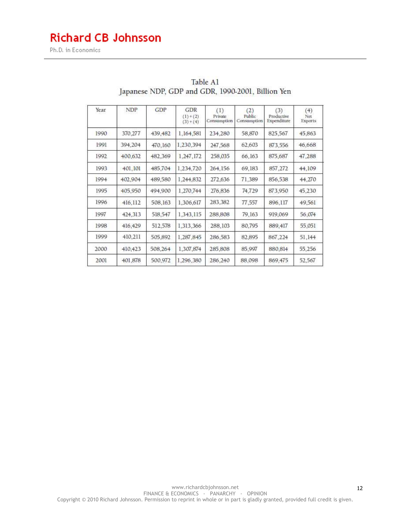## **Richard CB Johnsson**

Ph.D. in Economics

| Year | NDP     | <b>GDP</b> | GDR<br>$(1)+(2)$<br>$(3)+(4)$ | (1)<br>Private<br>Consumption | (2)<br>Public<br>Consumption | (3)<br>Productive<br>Expenditure | (4)<br>Net<br>Exports |
|------|---------|------------|-------------------------------|-------------------------------|------------------------------|----------------------------------|-----------------------|
| 1990 | 370,277 | 439, 482   | 1,164,581                     | 234,280                       | 58,870                       | 825,567                          | 45,863                |
| 1991 | 394,204 | 470,160    | 1,230,394                     | 247,568                       | 62,603                       | 873,556                          | 46,668                |
| 1992 | 400,632 | 482,369    | 1,247,172                     | 258,035                       | 66,163                       | 875,687                          | 47,288                |
| 1993 | 401,101 | 485.704    | 1,234,720                     | 264,156                       | 69,183                       | 857,272                          | 44,109                |
| 1994 | 402,904 | 489,580    | 1,244,832                     | 272,636                       | 71.389                       | 856,538                          | 44,270                |
| 1995 | 405,950 | 494,900    | 1,270,744                     | 276,836                       | 74,729                       | 873,950                          | 45,230                |
| 1996 | 416,112 | 508,163    | 1,306,617                     | 283,382                       | 77,557                       | 896,117                          | 49,561                |
| 1997 | 424,313 | 518,547    | 1,343,115                     | 288,808                       | 79,163                       | 919,069                          | 56.074                |
| 1998 | 416,429 | 512,578    | 1,313,366                     | 288,103                       | 80,795                       | 889,417                          | 55.051                |
| 1999 | 410,211 | 505,892    | 1.287.845                     | 286,583                       | 82.895                       | 867,224                          | 51,144                |
| 2000 | 410,423 | 508,264    | 1,307,874                     | 285,808                       | 85,997                       | 880,814                          | 55,256                |
| 2001 | 401.878 | 500,972    | 1,296,380                     | 286,240                       | 88,098                       | 869,475                          | 52,567                |

#### Table A1 Japanese NDP, GDP and GDR, 1990-2001, Billion Yen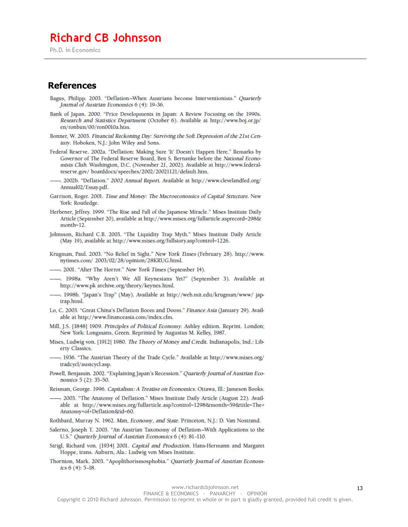#### **Richard CB Johnsson**

Ph.D. in Economics

#### **References**

- Bagus, Philipp. 2003. "Deflation-When Austrians become Interventionists." Quarterly Journal of Austrian Economics 6 (4): 19-36.
- Bank of Japan. 2000. "Price Developments in Japan: A Review Focusing on the 1990s. Research and Statistics Department (October 6). Available at http://www.boj.or.jp/ en/ronbun/00/ron0010a.htm.
- Bonner, W. 2003. Financial Reckoning Day: Surviving the Soft Depression of the 21st Century. Hoboken, N.J.: John Wiley and Sons.
- Federal Reserve. 2002a. "Deflation: Making Sure 'It' Doesn't Happen Here." Remarks by Governor of The Federal Reserve Board, Ben S. Bernanke before the National Economists Club. Washington, D.C. (November 21, 2002). Available at http://www.federalreserve.gov/boarddocs/speeches/2002/20021121/default.htm.
- 2002b. "Deflation." 2002 Annual Report. Available at http://www.clevelandfed.org/ Annual02/Essay.pdf.
- Garrison, Roger. 2001. Time and Money: The Macroeconomics of Capital Structure. New York: Routledge.
- Herbener, Jeffrey. 1999. "The Rise and Fall of the Japanese Miracle." Mises Institute Daily Article (September 20), available at http://www.mises.org/fullarticle.asprecord=298& month=12.
- Johnsson, Richard C.B. 2003. "The Liquidity Trap Myth." Mises Institute Daily Article (May 19), available at http://www.mises.org/fullstory.asp?control=1226.
- Krugman, Paul. 2003. "No Relief in Sight." New York Times (February 28). http://www. nytimes.com/2003/02/28/opinion/28KRUG.html.
- -- 2001. "After The Horror." New York Times (September 14).
- -. 1998a. "Why Aren't We All Keynesians Yet?" (September 3). Available at http://www.pk archive.org/theory/keynes.html.
- -, 1998b. "Japan's Trap" (May). Available at http://web.mit.edu/krugman/www/ japtrap.html.
- Lo, C. 2003. "Great China's Deflation Boom and Doom." Finance Asia (January 29). Available at http://www.financeasia.com/index.cfm.
- Mill, J.S. [1848] 1909. Principles of Political Economy. Ashley edition. Reprint. London; New York: Longmans, Green. Reprinted by Augustus M. Kelley, 1987.
- Mises, Ludwig von. [1912] 1980. The Theory of Money and Credit. Indianapolis, Ind.: Liberty Classics.
- -. 1936. "The Austrian Theory of the Trade Cycle." Available at http://www.mises.org/ tradcycl/austcycl.asp.
- Powell, Benjamin. 2002. "Explaining Japan's Recession." Quarterly Journal of Austrian Economics 5 (2): 35-50.
- Reisman, George. 1996. Capitalism: A Treatise on Economics. Ottawa, Ill.: Jameson Books.
- -... 2003. "The Anatomy of Deflation." Mises Institute Daily Article (August 22). Available at http://www.mises.org/fullarticle.asp?control=1298&month=59&title=The+ Anatomy+of+Deflation&id=60.
- Rothbard, Murray N. 1962. Man, Economy, and State. Princeton, N.J.: D. Van Nostrand.
- Salerno, Joseph T. 2003. "An Austrian Taxonomy of Deflation-With Applications to the U.S." Quarterly Journal of Austrian Economics 6 (4): 81-110.
- Strigl, Richard von. [1934] 2001. Capital and Production. Hans-Hermann and Margaret Hoppe, trans. Auburn, Ala.: Ludwig von Mises Institute.
- Thornton, Mark. 2003. "Apoplithorismosphobia." Quarterly Journal of Austrian Economics 6 (4): 5-18.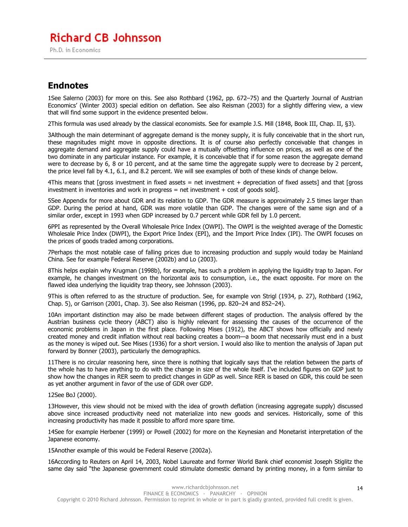### **Richard CB Johnsson**

Ph.D. in Economics

#### **Endnotes**

1See Salerno (2003) for more on this. See also Rothbard (1962, pp. 672–75) and the Quarterly Journal of Austrian Economics' (Winter 2003) special edition on deflation. See also Reisman (2003) for a slightly differing view, a view that will find some support in the evidence presented below.

2This formula was used already by the classical economists. See for example J.S. Mill (1848, Book III, Chap. II, §3).

3Although the main determinant of aggregate demand is the money supply, it is fully conceivable that in the short run, these magnitudes might move in opposite directions. It is of course also perfectly conceivable that changes in aggregate demand and aggregate supply could have a mutually offsetting influence on prices, as well as one of the two dominate in any particular instance. For example, it is conceivable that if for some reason the aggregate demand were to decrease by 6, 8 or 10 percent, and at the same time the aggregate supply were to decrease by 2 percent, the price level fall by 4.1, 6.1, and 8.2 percent. We will see examples of both of these kinds of change below.

 $4$ This means that [gross investment in fixed assets = net investment + depreciation of fixed assets] and that [gross investment in inventories and work in progress  $=$  net investment  $+$  cost of goods sold].

5See Appendix for more about GDR and its relation to GDP. The GDR measure is approximately 2.5 times larger than GDP. During the period at hand, GDR was more volatile than GDP. The changes were of the same sign and of a similar order, except in 1993 when GDP increased by 0.7 percent while GDR fell by 1.0 percent.

6PPI as represented by the Overall Wholesale Price Index (OWPI). The OWPI is the weighted average of the Domestic Wholesale Price Index (DWPI), the Export Price Index (EPI), and the Import Price Index (IPI). The OWPI focuses on the prices of goods traded among corporations.

7Perhaps the most notable case of falling prices due to increasing production and supply would today be Mainland China. See for example Federal Reserve (2002b) and Lo (2003).

8This helps explain why Krugman (1998b), for example, has such a problem in applying the liquidity trap to Japan. For example, he changes investment on the horizontal axis to consumption, i.e., the exact opposite. For more on the flawed idea underlying the liquidity trap theory, see Johnsson (2003).

9This is often referred to as the structure of production. See, for example von Strigl (1934, p. 27), Rothbard (1962, Chap. 5), or Garrison (2001, Chap. 3). See also Reisman (1996, pp. 820–24 and 852–24).

10An important distinction may also be made between different stages of production. The analysis offered by the Austrian business cycle theory (ABCT) also is highly relevant for assessing the causes of the occurrence of the economic problems in Japan in the first place. Following Mises (1912), the ABCT shows how officially and newly created money and credit inflation without real backing creates a boom—a boom that necessarily must end in a bust as the money is wiped out. See Mises (1936) for a short version. I would also like to mention the analysis of Japan put forward by Bonner (2003), particularly the demographics.

11There is no circular reasoning here, since there is nothing that logically says that the relation between the parts of the whole has to have anything to do with the change in size of the whole itself. I've included figures on GDP just to show how the changes in RER seem to predict changes in GDP as well. Since RER is based on GDR, this could be seen as yet another argument in favor of the use of GDR over GDP.

#### 12See BoJ (2000).

13However, this view should not be mixed with the idea of growth deflation (increasing aggregate supply) discussed above since increased productivity need not materialize into new goods and services. Historically, some of this increasing productivity has made it possible to afford more spare time.

14See for example Herbener (1999) or Powell (2002) for more on the Keynesian and Monetarist interpretation of the Japanese economy.

15Another example of this would be Federal Reserve (2002a).

16According to Reuters on April 14, 2003, Nobel Laureate and former World Bank chief economist Joseph Stiglitz the same day said "the Japanese government could stimulate domestic demand by printing money, in a form similar to